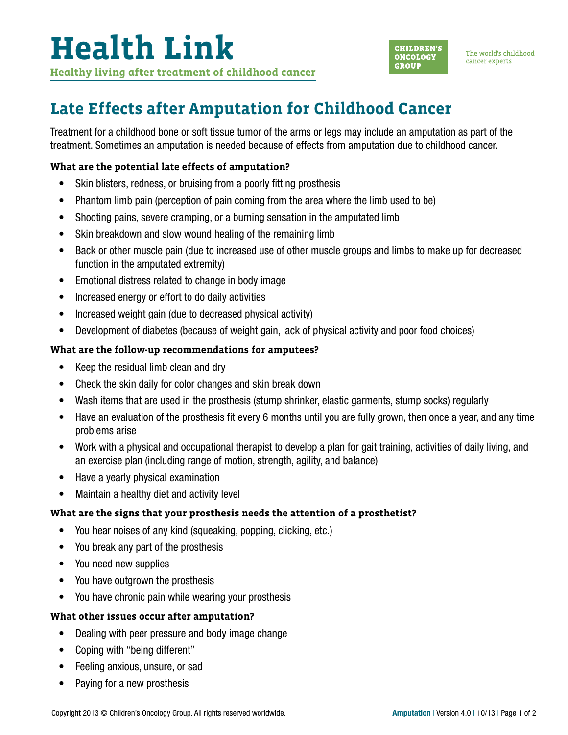

The world's childhood cancer experts

## **Late Effects after Amputation for Childhood Cancer**

Treatment for a childhood bone or soft tissue tumor of the arms or legs may include an amputation as part of the treatment. Sometimes an amputation is needed because of effects from amputation due to childhood cancer.

### **What are the potential late effects of amputation?**

- Skin blisters, redness, or bruising from a poorly fitting prosthesis
- Phantom limb pain (perception of pain coming from the area where the limb used to be)
- Shooting pains, severe cramping, or a burning sensation in the amputated limb
- Skin breakdown and slow wound healing of the remaining limb
- Back or other muscle pain (due to increased use of other muscle groups and limbs to make up for decreased function in the amputated extremity)
- Emotional distress related to change in body image
- Increased energy or effort to do daily activities
- Increased weight gain (due to decreased physical activity)
- Development of diabetes (because of weight gain, lack of physical activity and poor food choices)

#### **What are the follow-up recommendations for amputees?**

- Keep the residual limb clean and dry
- Check the skin daily for color changes and skin break down
- Wash items that are used in the prosthesis (stump shrinker, elastic garments, stump socks) regularly
- Have an evaluation of the prosthesis fit every 6 months until you are fully grown, then once a year, and any time problems arise
- Work with a physical and occupational therapist to develop a plan for gait training, activities of daily living, and an exercise plan (including range of motion, strength, agility, and balance)
- Have a yearly physical examination
- Maintain a healthy diet and activity level

#### **What are the signs that your prosthesis needs the attention of a prosthetist?**

- You hear noises of any kind (squeaking, popping, clicking, etc.)
- You break any part of the prosthesis
- You need new supplies
- You have outgrown the prosthesis
- You have chronic pain while wearing your prosthesis

#### **What other issues occur after amputation?**

- Dealing with peer pressure and body image change
- Coping with "being different"
- Feeling anxious, unsure, or sad
- Paying for a new prosthesis